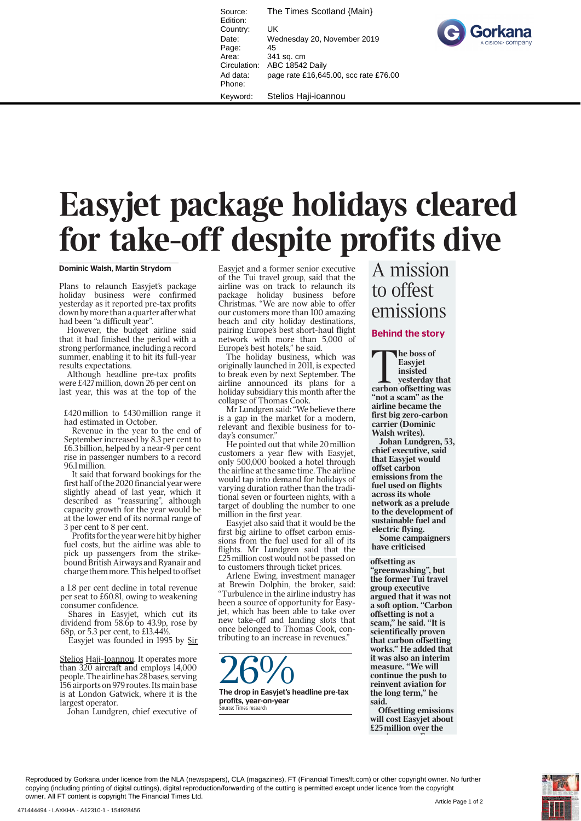Source: The Times Scotland {Main} Edition: Country: UK Date: Wednesday 20, November 2019 Page: 45<br>Area: 34 Area: 341 sq. cm<br>Circulation: ABC 18542 ABC 18542 Daily Ad data: page rate £16,645.00, scc rate £76.00 Phone: Keyword: Stelios Haji-ioannou



**Easyjet package holidays cleared for take-off despite profits dive**

Dominic Walsh, Martin Strydom

Plans to relaunch Easyjet's package holiday business were confirmed yesterday as it reported pre-tax profits down by more than a quarter after what had been "a difficult year".

However, the budget airline said that it had finished the period with a strong performance, including a record summer, enabling it to hit its full-year results expectations.

Although headline pre-tax profits were £427 million, down 26 per cent on last year, this was at the top of the

£420 million to £430 million range it had estimated in October.

Revenue in the year to the end of September increased by 8.3 per cent to £6.3 billion, helped by a near-9 per cent rise in passenger numbers to a record 96.1 million.

It said that forward bookings for the first half of the 2020 financial year were slightly ahead of last year, which it described as "reassuring", although capacity growth for the year would be at the lower end of its normal range of 3 per cent to 8 per cent.

Profits for the year were hit by higher fuel costs, but the airline was able to pick up passengers from the strikebound British Airways and Ryanair and charge them more. This helped to offset

a 1.8 per cent decline in total revenue per seat to £60.81, owing to weakening consumer confidence.

Shares in Easyjet, which cut its dividend from 58.6p to 43.9p, rose by 68p, or 5.3 per cent, to £13.44½.

Easyjet was founded in 1995 by Sir

Stelios Haji-Ioannou. It operates more than 320 aircraft and employs 14,000 people. The airline has 28 bases, serving 156 airports on 979 routes. Its main base is at London Gatwick, where it is the largest operator.

Johan Lundgren, chief executive of

Easyjet and a former senior executive of the Tui travel group, said that the airline was on track to relaunch its package holiday business before Christmas. "We are now able to offer our customers more than 100 amazing beach and city holiday destinations, pairing Europe's best short-haul flight network with more than 5,000 of Europe's best hotels," he said.

The holiday business, which was originally launched in 2011, is expected to break even by next September. The airline announced its plans for a holiday subsidiary this month after the collapse of Thomas Cook.

Mr Lundgren said: "We believe there is a gap in the market for a modern, relevant and flexible business for today's consumer."

He pointed out that while 20 million customers a year flew with Easyjet, only 500,000 booked a hotel through the airline at the same time. The airline would tap into demand for holidays of varying duration rather than the traditional seven or fourteen nights, with a target of doubling the number to one million in the first year.

Easyjet also said that it would be the first big airline to offset carbon emissions from the fuel used for all of its flights. Mr Lundgren said that the £25 million cost would not be passed on to customers through ticket prices.

Arlene Ewing, investment manager at Brewin Dolphin, the broker, said: "Turbulence in the airline industry has been a source of opportunity for Easyjet, which has been able to take over new take-off and landing slots that once belonged to Thomas Cook, contributing to an increase in revenues."



## A mission to offest emissions

## Behind the story

**The boss of** Easyjet insisted yesterday that carbon offsetting was "not a scam" as the airline became the first big zero-carbon carrier (Dominic Walsh writes).

Johan Lundgren, 53, chief executive, said that Easyjet would offset carbon emissions from the fuel used on flights across its whole network as a prelude to the development of sustainable fuel and electric flying.

Some campaigners have criticised

## offsetting as

"greenwashing", but the former Tui travel group executive argued that it was not a soft option. "Carbon offsetting is not a scam," he said. "It is scientifically proven that carbon offsetting works." He added that it was also an interim measure. "We will continue the push to reinvent aviation for the long term," he said.

Offsetting emissions will cost Easyjet about £25 million over the

i F

Reproduced by Gorkana under licence from the NLA (newspapers), CLA (magazines), FT (Financial Times/ft.com) or other copyright owner. No further copying (including printing of digital cuttings), digital reproduction/forwarding of the cutting is permitted except under licence from the copyright owner. All FT content is copyright The Financial Times Ltd.